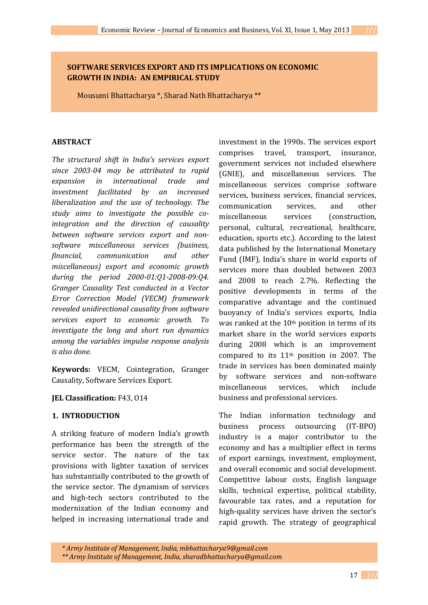# **SOFTWARE SERVICES EXPORT AND ITS IMPLICATIONS ON ECONOMIC GROWTH IN INDIA: AN EMPIRICAL STUDY**

Mousumi Bhattacharya \*, Sharad Nath Bhattacharya \*\*

## **ABSTRACT**

*The structural shift in India's services export since 2003-04 may be attributed to rapid expansion in international trade and investment facilitated by an increased liberalization and the use of technology. The study aims to investigate the possible cointegration and the direction of causality between software services export and nonsoftware miscellaneous services (business, financial, communication and other miscellaneous) export and economic growth during the period 2000-01:Q1-2008-09:Q4. Granger Causality Test conducted in a Vector Error Correction Model (VECM) framework revealed unidirectional causality from software services export to economic growth. To investigate the long and short run dynamics among the variables impulse response analysis is also done.* 

**Keywords:** VECM, Cointegration, Granger Causality, Software Services Export.

## **JEL Classification:** F43, O14

## **1. INTRODUCTION**

A striking feature of modern India's growth performance has been the strength of the service sector. The nature of the tax provisions with lighter taxation of services has substantially contributed to the growth of the service sector. The dynamism of services and high-tech sectors contributed to the modernization of the Indian economy and helped in increasing international trade and

investment in the 1990s. The services export comprises travel, transport, insurance, government services not included elsewhere (GNIE), and miscellaneous services. The miscellaneous services comprise software services, business services, financial services, communication services, and other miscellaneous services (construction, personal, cultural, recreational, healthcare, education, sports etc.). According to the latest data published by the International Monetary Fund (IMF), India's share in world exports of services more than doubled between 2003 and 2008 to reach 2.7%. Reflecting the positive developments in terms of the comparative advantage and the continued buoyancy of India's services exports, India was ranked at the 10<sup>th</sup> position in terms of its market share in the world services exports during 2008 which is an improvement compared to its 11th position in 2007. The trade in services has been dominated mainly by software services and non-software miscellaneous services, which include business and professional services.

The Indian information technology and business process outsourcing (IT-BPO) industry is a major contributor to the economy and has a multiplier effect in terms of export earnings, investment, employment, and overall economic and social development. Competitive labour costs, English language skills, technical expertise, political stability, favourable tax rates, and a reputation for high-quality services have driven the sector's rapid growth. The strategy of geographical

*\* Army Institute of Management, India, mbhattacharya9@gmail.com \*\* Army Institute of Management, India, sharadbhattacharya@gmail.com*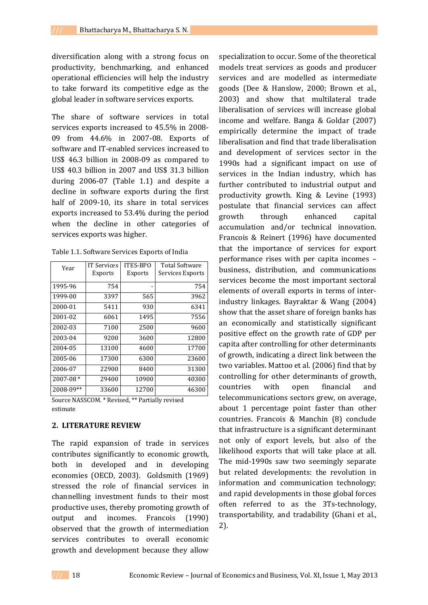diversification along with a strong focus on productivity, benchmarking, and enhanced operational efficiencies will help the industry to take forward its competitive edge as the global leader in software services exports.

The share of software services in total services exports increased to 45.5% in 2008- 09 from 44.6% in 2007-08. Exports of software and IT-enabled services increased to US\$ 46.3 billion in 2008-09 as compared to US\$ 40.3 billion in 2007 and US\$ 31.3 billion during 2006-07 (Table 1.1) and despite a decline in software exports during the first half of 2009-10, its share in total services exports increased to 53.4% during the period when the decline in other categories of services exports was higher.

| Year         | <b>IT Services</b><br><b>Exports</b> | <b>ITES-BPO</b><br><b>Exports</b> | <b>Total Software</b><br>Services Exports |
|--------------|--------------------------------------|-----------------------------------|-------------------------------------------|
| 1995-96      | 754                                  |                                   | 754                                       |
| 1999-00      | 3397                                 | 565                               | 3962                                      |
| 2000-01      | 5411                                 | 930                               | 6341                                      |
| 2001-02      | 6061                                 | 1495                              | 7556                                      |
| 2002-03      | 7100                                 | 2500                              | 9600                                      |
| 2003-04      | 9200                                 | 3600                              | 12800                                     |
| 2004-05      | 13100                                | 4600                              | 17700                                     |
| 2005-06      | 17300                                | 6300                              | 23600                                     |
| 2006-07      | 22900                                | 8400                              | 31300                                     |
| $2007 - 08*$ | 29400                                | 10900                             | 40300                                     |
| 2008-09**    | 33600                                | 12700                             | 46300                                     |

Source NASSCOM. \* Revised, \*\* Partially revised estimate

## **2. LITERATURE REVIEW**

The rapid expansion of trade in services contributes significantly to economic growth, both in developed and in developing economies (OECD, 2003). Goldsmith (1969) stressed the role of financial services in channelling investment funds to their most productive uses, thereby promoting growth of output and incomes. Francois (1990) observed that the growth of intermediation services contributes to overall economic growth and development because they allow

specialization to occur. Some of the theoretical models treat services as goods and producer services and are modelled as intermediate goods (Dee & Hanslow, 2000; Brown et al., 2003) and show that multilateral trade liberalisation of services will increase global income and welfare. Banga & Goldar (2007) empirically determine the impact of trade liberalisation and find that trade liberalisation and development of services sector in the 1990s had a significant impact on use of services in the Indian industry, which has further contributed to industrial output and productivity growth. King & Levine (1993) postulate that financial services can affect growth through enhanced capital accumulation and/or technical innovation. Francois & Reinert (1996) have documented that the importance of services for export performance rises with per capita incomes – business, distribution, and communications services become the most important sectoral elements of overall exports in terms of interindustry linkages. Bayraktar & Wang (2004) show that the asset share of foreign banks has an economically and statistically significant positive effect on the growth rate of GDP per capita after controlling for other determinants of growth, indicating a direct link between the two variables. Mattoo et al. (2006) find that by controlling for other determinants of growth, countries with open financial and telecommunications sectors grew, on average, about 1 percentage point faster than other countries. Francois & Manchin (8) conclude that infrastructure is a significant determinant not only of export levels, but also of the likelihood exports that will take place at all. The mid-1990s saw two seemingly separate but related developments: the revolution in information and communication technology; and rapid developments in those global forces often referred to as the 3Ts-technology, transportability, and tradability (Ghani et al., 2).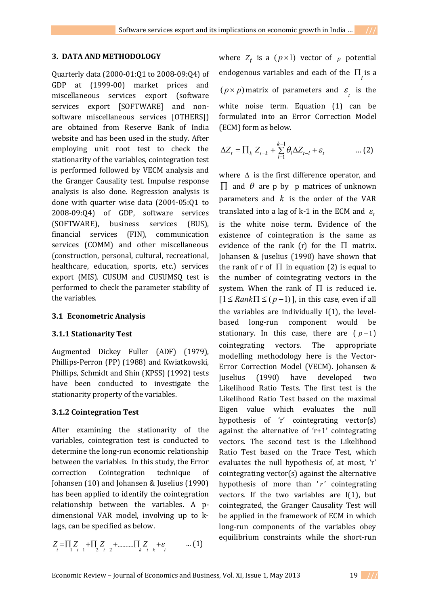## **3. DATA AND METHODOLOGY**

Quarterly data (2000-01:Q1 to 2008-09:Q4) of GDP at (1999-00) market prices and miscellaneous services export (software services export [SOFTWARE] and nonsoftware miscellaneous services [OTHERS]) are obtained from Reserve Bank of India website and has been used in the study. After employing unit root test to check the stationarity of the variables, cointegration test is performed followed by VECM analysis and the Granger Causality test. Impulse response analysis is also done. Regression analysis is done with quarter wise data (2004-05:Q1 to 2008-09:Q4) of GDP, software services (SOFTWARE), business services (BUS), financial services (FIN), communication services (COMM) and other miscellaneous (construction, personal, cultural, recreational, healthcare, education, sports, etc.) services export (MIS). CUSUM and CUSUMSQ test is performed to check the parameter stability of the variables.

# **3.1 Econometric Analysis**

# **3.1.1 Stationarity Test**

Augmented Dickey Fuller (ADF) (1979), Phillips-Perron (PP) (1988) and Kwiatkowski, Phillips, Schmidt and Shin (KPSS) (1992) tests have been conducted to investigate the stationarity property of the variables.

# **3.1.2 Cointegration Test**

After examining the stationarity of the variables, cointegration test is conducted to determine the long-run economic relationship between the variables. In this study, the Error correction Cointegration technique of Johansen (10) and Johansen & Juselius (1990) has been applied to identify the cointegration relationship between the variables. A pdimensional VAR model, involving up to klags, can be specified as below.

$$
Z_{t} = \prod_{i} Z_{t-1} + \prod_{i} Z_{t-2} + \dots + \prod_{k} Z_{t-k} + \varepsilon \dots \qquad \dots (1)
$$

where  $Z_t$  is a  $(p \times 1)$  vector of  $p$  potential endogenous variables and each of the  $\Pi_i$  is a  $(p \times p)$  matrix of parameters and  $\varepsilon$  is the white noise term. Equation (1) can be formulated into an Error Correction Model (ECM) form as below.

$$
\Delta Z_t = \prod_k Z_{t-k} + \sum_{i=1}^{k-1} \theta_i \Delta Z_{t-i} + \varepsilon_t \qquad \qquad \dots (2)
$$

where  $\Delta$  is the first difference operator, and  $\Pi$  and  $\theta$  are p by p matrices of unknown parameters and *k* is the order of the VAR translated into a lag of k-1 in the ECM and  $\varepsilon_{t}$ is the white noise term. Evidence of the existence of cointegration is the same as evidence of the rank  $(r)$  for the  $\Pi$  matrix. Johansen & Juselius (1990) have shown that the rank of r of  $\Pi$  in equation (2) is equal to the number of cointegrating vectors in the system. When the rank of  $\Pi$  is reduced i.e.  $[1 \leq Rank \Pi \leq (p-1)]$ , in this case, even if all the variables are individually I(1), the levelbased long-run component would be stationary. In this case, there are  $(p-1)$ cointegrating vectors. The appropriate modelling methodology here is the Vector-Error Correction Model (VECM). Johansen & Juselius (1990) have developed two Likelihood Ratio Tests. The first test is the Likelihood Ratio Test based on the maximal Eigen value which evaluates the null hypothesis of 'r' cointegrating vector(s) against the alternative of 'r+1' cointegrating vectors. The second test is the Likelihood Ratio Test based on the Trace Test, which evaluates the null hypothesis of, at most, 'r' cointegrating vector(s) against the alternative hypothesis of more than  $'r'$  cointegrating vectors. If the two variables are  $I(1)$ , but cointegrated, the Granger Causality Test will be applied in the framework of ECM in which long-run components of the variables obey equilibrium constraints while the short-run

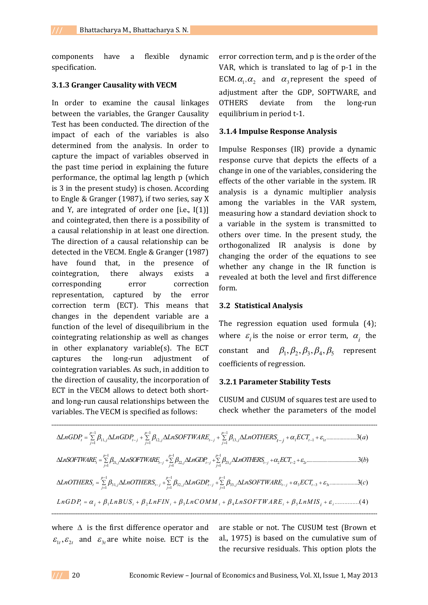components have a flexible dynamic specification.

### **3.1.3 Granger Causality with VECM**

In order to examine the causal linkages between the variables, the Granger Causality Test has been conducted. The direction of the impact of each of the variables is also determined from the analysis. In order to capture the impact of variables observed in the past time period in explaining the future performance, the optimal lag length p (which is 3 in the present study) is chosen. According to Engle & Granger (1987), if two series, say X and Y, are integrated of order one [i.e., I(1)] and cointegrated, then there is a possibility of a causal relationship in at least one direction. The direction of a causal relationship can be detected in the VECM. Engle & Granger (1987) have found that, in the presence of cointegration, there always exists a corresponding error correction representation, captured by the error correction term (ECT). This means that changes in the dependent variable are a function of the level of disequilibrium in the cointegrating relationship as well as changes in other explanatory variable(s). The ECT captures the long-run adjustment of cointegration variables. As such, in addition to the direction of causality, the incorporation of ECT in the VECM allows to detect both shortand long-run causal relationships between the variables. The VECM is specified as follows:

error correction term, and p is the order of the VAR, which is translated to lag of p-1 in the ECM.  $\alpha_1, \alpha_2$  and  $\alpha_3$  represent the speed of adjustment after the GDP, SOFTWARE, and OTHERS deviate from the long-run equilibrium in period t-1.

### **3.1.4 Impulse Response Analysis**

Impulse Responses (IR) provide a dynamic response curve that depicts the effects of a change in one of the variables, considering the effects of the other variable in the system. IR analysis is a dynamic multiplier analysis among the variables in the VAR system, measuring how a standard deviation shock to a variable in the system is transmitted to others over time. In the present study, the orthogonalized IR analysis is done by changing the order of the equations to see whether any change in the IR function is revealed at both the level and first difference form.

#### **3.2 Statistical Analysis**

The regression equation used formula (4); where  $\varepsilon$ <sub>*i*</sub> is the noise or error term,  $\alpha$ <sub>*i*</sub> the constant and  $\beta_1, \beta_2, \beta_3, \beta_4, \beta_5$  represent coefficients of regression.

### **3.2.1 Parameter Stability Tests**

CUSUM and CUSUM of squares test are used to check whether the parameters of the model

1 1 1 11, 12, 13, 1 1 1 1 1 1 .....................3( ) *p p p t j t j j t j j t t j j j t j LnGDP LnGDP LnSOFTWARE LnOTHERS ECT a*  1 1 1 21, 22, 23, 2 2 2 1 1 1 ..........................................3( ) *p p p t j t j j t j j t j t t j j j LnSOFTWARE LnSOFTWARE LnGDP LnOTHERS ECT b*  1 1 1 31, 32, 33, 3 3 3 1 1 1 ....................3( ) *p p p t j t j j t j j t j t t j j j LnOTHERS LnOTHERS LnGDP LnSOFTWARE ECT c*  1 2 3 4 5 ...............(4 ) *i i i i i i i i L nGDP L nBU S L nF IN L nC OMM LnSOFTW ARE L nM IS* 

where  $\Delta$  is the first difference operator and  $\varepsilon_{1t}$ ,  $\varepsilon_{2t}$  and  $\varepsilon_{3t}$  are white noise. ECT is the are stable or not. The CUSUM test (Brown et al., 1975) is based on the cumulative sum of the recursive residuals. This option plots the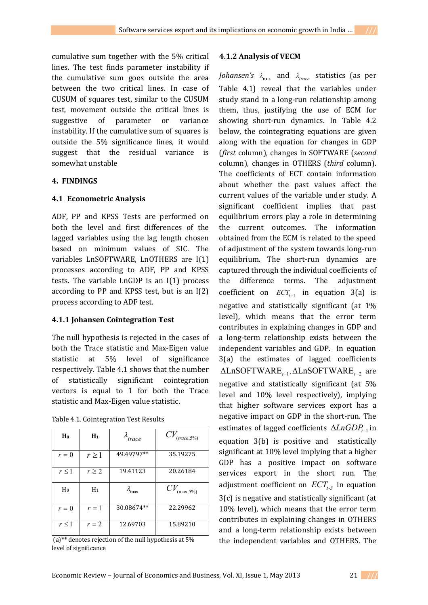cumulative sum together with the 5% critical lines. The test finds parameter instability if the cumulative sum goes outside the area between the two critical lines. In case of CUSUM of squares test, similar to the CUSUM test, movement outside the critical lines is suggestive of parameter or variance instability. If the cumulative sum of squares is outside the 5% significance lines, it would suggest that the residual variance is somewhat unstable

## **4. FINDINGS**

# **4.1 Econometric Analysis**

ADF, PP and KPSS Tests are performed on both the level and first differences of the lagged variables using the lag length chosen based on minimum values of SIC. The variables LnSOFTWARE, LnOTHERS are I(1) processes according to ADF, PP and KPSS tests. The variable LnGDP is an I(1) process according to PP and KPSS test, but is an I(2) process according to ADF test.

# **4.1.1 Johansen Cointegration Test**

The null hypothesis is rejected in the cases of both the Trace statistic and Max-Eigen value statistic at 5% level of significance respectively. Table 4.1 shows that the number of statistically significant cointegration vectors is equal to 1 for both the Trace statistic and Max-Eigen value statistic.

|  | Table 4.1. Cointegration Test Results |
|--|---------------------------------------|
|--|---------------------------------------|

| Ho             | $H_1$      | λ<br>trace             | $CV_{\text{(trace,5%)}}$ |
|----------------|------------|------------------------|--------------------------|
| $r = 0$        | $r \geq 1$ | 49.49797**             | 35.19275                 |
| $r \leq 1$     | $r \geq 2$ | 19.41123               | 20.26184                 |
| H <sub>0</sub> | $H_1$      | $\lambda_{\text{max}}$ | $CV_{(max,5%)}$          |
| $r = 0$        | $r=1$      | 30.08674**             | 22.29962                 |
| $r \leq 1$     | $r=2$      | 12.69703               | 15.89210                 |

 $(a)$ <sup>\*\*</sup> denotes rejection of the null hypothesis at 5% level of significance

## **4.1.2 Analysis of VECM**

*Johansen's*  $\lambda_{\text{max}}$  and  $\lambda_{\text{trace}}$  statistics (as per Table 4.1) reveal that the variables under study stand in a long-run relationship among them, thus, justifying the use of ECM for showing short-run dynamics. In Table 4.2 below, the cointegrating equations are given along with the equation for changes in GDP (*first* column), changes in SOFTWARE (*second*  column), changes in OTHERS (*third* column). The coefficients of ECT contain information about whether the past values affect the current values of the variable under study. A significant coefficient implies that past equilibrium errors play a role in determining the current outcomes. The information obtained from the ECM is related to the speed of adjustment of the system towards long-run equilibrium. The short-run dynamics are captured through the individual coefficients of the difference terms. The adjustment coefficient on  $\text{ECT}_{t-1}$  in equation 3(a) is negative and statistically significant (at 1% level), which means that the error term contributes in explaining changes in GDP and a long-term relationship exists between the independent variables and GDP. In equation 3(a) the estimates of lagged coefficients  $\Delta \text{LnSOFTWARE}_{t-1}$ ,  $\Delta \text{LnSOFTWARE}_{t-2}$  are negative and statistically significant (at 5% level and 10% level respectively), implying that higher software services export has a negative impact on GDP in the short-run. The estimates of lagged coefficients  $\Delta LnGDP_{t-1}$  in equation 3(b) is positive and statistically significant at 10% level implying that a higher GDP has a positive impact on software services export in the short run. The adjustment coefficient on  $\mathit{ECT}_{t-3}$  in equation 3(c) is negative and statistically significant (at 10% level), which means that the error term contributes in explaining changes in OTHERS and a long-term relationship exists between the independent variables and OTHERS. The

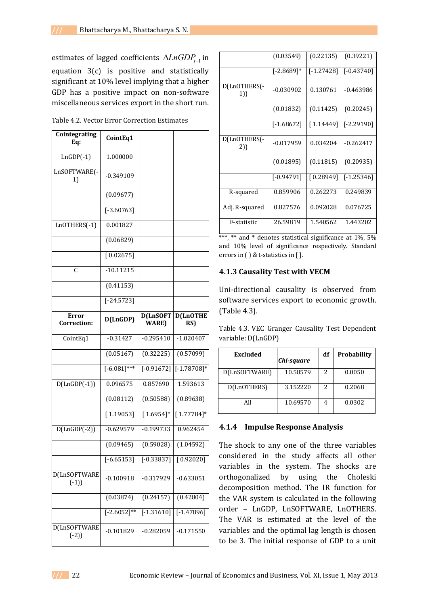estimates of lagged coefficients  $\Delta LnGDP_{t-1}$  in equation 3(c) is positive and statistically significant at 10% level implying that a higher GDP has a positive impact on non-software miscellaneous services export in the short run.

Table 4.2. Vector Error Correction Estimates

| Cointegrating<br>Eq:        | CointEq1         |                         |                         |
|-----------------------------|------------------|-------------------------|-------------------------|
| $LnGDP(-1)$                 | 1.000000         |                         |                         |
| LnSOFTWARE(-<br>1)          | $-0.349109$      |                         |                         |
|                             | (0.09677)        |                         |                         |
|                             | $[-3.60763]$     |                         |                         |
| LnOTHERS(-1)                | 0.001827         |                         |                         |
|                             | (0.06829)        |                         |                         |
|                             | [0.02675]        |                         |                         |
| C                           | $-10.11215$      |                         |                         |
|                             | (0.41153)        |                         |                         |
|                             | $[-24.5723]$     |                         |                         |
| <b>Error</b><br>Correction: | D(LnGDP)         | D(LnSOFT<br>WARE)       | <b>D(LnOTHE</b><br>RS)  |
| CointEq1                    | $-0.31427$       | $-0.295410$             | $-1.020407$             |
|                             | (0.05167)        | (0.32225)               | (0.57099)               |
|                             | $[-6.081]$ ***   | $[-0.91672]$            | $[-1.78708]$ *          |
| $D(LnGDP(-1))$              | 0.096575         | 0.857690                | 1.593613                |
|                             | (0.08112)        | (0.50588)               | (0.89638)               |
|                             | [1.19053]        | $[1.6954]$ *            | $[1.77784]$ *           |
| $D(LnGDP(-2))$              | $-0.629579$      | $-0.199733$             | 0.962454                |
|                             | (0.09465)        | (0.59028)               | (1.04592)               |
|                             | $[-6.65153]$     | $\overline{[-0.33837]}$ | [0.92020]               |
| D(LnSOFTWARE<br>$(-1)$      | $-0.100918$      | $-0.317929$             | $-0.633051$             |
|                             | (0.03874)        | (0.24157)               | (0.42804)               |
|                             | $[-2.6052]^{**}$ | $[-1.31610]$            | $\overline{[-1.47896]}$ |
| D(LnSOFTWARE<br>$(-2)$      | $-0.101829$      | $-0.282059$             | $-0.171550$             |

|                     | (0.03549)    | (0.22135)    | (0.39221)    |
|---------------------|--------------|--------------|--------------|
|                     | $[-2.8689]*$ | $[-1.27428]$ | $[-0.43740]$ |
| D(LnOTHERS(-<br>1)) | $-0.030902$  | 0.130761     | $-0.463986$  |
|                     | (0.01832)    | (0.11425)    | (0.20245)    |
|                     | $[-1.68672]$ | [1.14449]    | $[-2.29190]$ |
| D(LnOTHERS(-<br>2)) | $-0.017959$  | 0.034204     | $-0.262417$  |
|                     | (0.01895)    | (0.11815)    | (0.20935)    |
|                     | $[-0.94791]$ | [0.28949]    | $[-1.25346]$ |
| R-squared           | 0.859906     | 0.262273     | 0.249839     |
| Adj. R-squared      | 0.827576     | 0.092028     | 0.076725     |
| F-statistic         | 26.59819     | 1.540562     | 1.443202     |

\*\*\*, \*\* and \* denotes statistical significance at  $1\%$ ,  $5\%$ and 10% level of significance respectively. Standard errors in ( ) & t-statistics in [ ].

# **4.1.3 Causality Test with VECM**

Uni-directional causality is observed from software services export to economic growth. (Table 4.3).

Table 4.3. VEC Granger Causality Test Dependent variable: D(LnGDP)

| Excluded      | Chi-square | df | <b>Probability</b> |
|---------------|------------|----|--------------------|
| D(LnSOFTWARE) | 10.58579   | 2  | 0.0050             |
| D(LnOTHERS)   | 3.152220   | 2  | 0.2068             |
|               | 10.69570   | 4  | 0.0302             |

# **4.1.4 Impulse Response Analysis**

The shock to any one of the three variables considered in the study affects all other variables in the system. The shocks are orthogonalized by using the Choleski decomposition method. The IR function for the VAR system is calculated in the following order – LnGDP, LnSOFTWARE, LnOTHERS. The VAR is estimated at the level of the variables and the optimal lag length is chosen to be 3. The initial response of GDP to a unit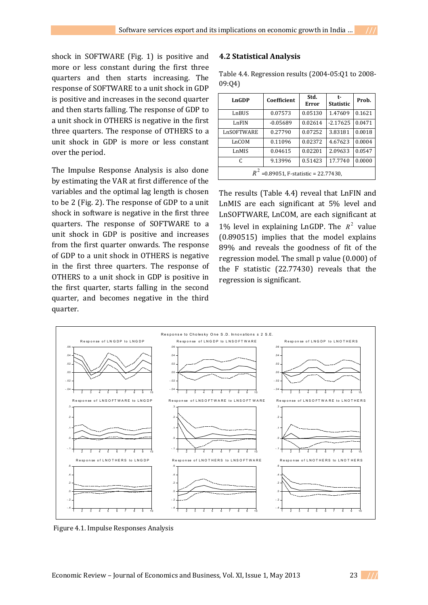shock in SOFTWARE (Fig. 1) is positive and more or less constant during the first three quarters and then starts increasing. The response of SOFTWARE to a unit shock in GDP is positive and increases in the second quarter and then starts falling. The response of GDP to a unit shock in OTHERS is negative in the first three quarters. The response of OTHERS to a unit shock in GDP is more or less constant over the period.

The Impulse Response Analysis is also done by estimating the VAR at first difference of the variables and the optimal lag length is chosen to be 2 (Fig. 2). The response of GDP to a unit shock in software is negative in the first three quarters. The response of SOFTWARE to a unit shock in GDP is positive and increases from the first quarter onwards. The response of GDP to a unit shock in OTHERS is negative in the first three quarters. The response of OTHERS to a unit shock in GDP is positive in the first quarter, starts falling in the second quarter, and becomes negative in the third quarter.

### **4.2 Statistical Analysis**

Table 4.4. Regression results (2004-05:Q1 to 2008- 09:Q4)

| LnGDP                                | Coefficient | Std.<br>Error | t-<br><b>Statistic</b> | Prob.  |
|--------------------------------------|-------------|---------------|------------------------|--------|
| LnBUS                                | 0.07573     | 0.05130       | 1.47609                | 0.1621 |
| LnFIN                                | $-0.05689$  | 0.02614       | $-2.17625$             | 0.0471 |
| LnSOFTWARE                           | 0.27790     | 0.07252       | 3.83181                | 0.0018 |
| LnCOM                                | 0.11096     | 0.02372       | 4.67623                | 0.0004 |
| LnMIS                                | 0.04615     | 0.02201       | 2.09633                | 0.0547 |
| C                                    | 9.13996     | 0.51423       | 17.7740                | 0.0000 |
| $=0.89051$ , F-statistic = 22.77430, |             |               |                        |        |

The results (Table 4.4) reveal that LnFIN and LnMIS are each significant at 5% level and LnSOFTWARE, LnCOM, are each significant at 1% level in explaining LnGDP. The  $R^2$  value (0.890515) implies that the model explains 89% and reveals the goodness of fit of the regression model. The small p value (0.000) of the F statistic (22.77430) reveals that the regression is significant.



Figure 4.1. Impulse Responses Analysis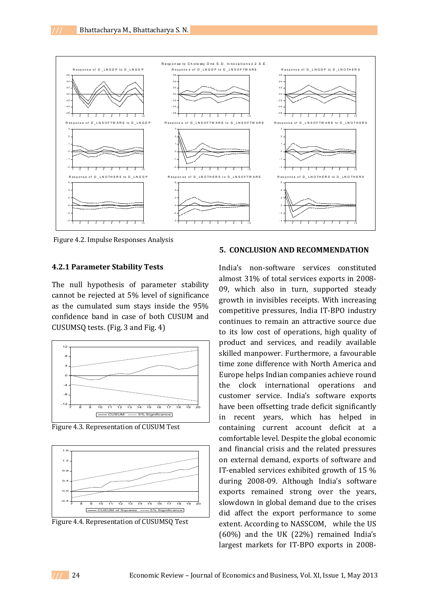

Figure 4.2. Impulse Responses Analysis

### **4.2.1 Parameter Stability Tests**

The null hypothesis of parameter stability cannot be rejected at 5% level of significance as the cumulated sum stays inside the 95% confidence band in case of both CUSUM and CUSUMSQ tests. (Fig. 3 and Fig. 4)



Figure 4.3. Representation of CUSUM Test





### **5. CONCLUSION AND RECOMMENDATION**

India's non-software services constituted almost 31% of total services exports in 2008- 09, which also in turn, supported steady growth in invisibles receipts. With increasing competitive pressures, India IT-BPO industry continues to remain an attractive source due to its low cost of operations, high quality of product and services, and readily available skilled manpower. Furthermore, a favourable time zone difference with North America and Europe helps Indian companies achieve round the clock international operations and customer service. India's software exports have been offsetting trade deficit significantly in recent years, which has helped in containing current account deficit at a comfortable level. Despite the global economic and financial crisis and the related pressures on external demand, exports of software and IT-enabled services exhibited growth of 15 % during 2008-09. Although India's software exports remained strong over the years, slowdown in global demand due to the crises did affect the export performance to some extent. According to NASSCOM, while the US (60%) and the UK (22%) remained India's largest markets for IT-BPO exports in 2008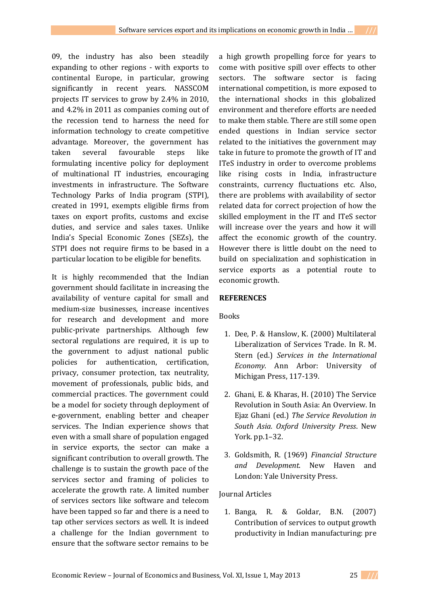09, the industry has also been steadily expanding to other regions - with exports to continental Europe, in particular, growing significantly in recent years. NASSCOM projects IT services to grow by 2.4% in 2010, and 4.2% in 2011 as companies coming out of the recession tend to harness the need for information technology to create competitive advantage. Moreover, the government has taken several favourable steps like formulating incentive policy for deployment of multinational IT industries, encouraging investments in infrastructure. The Software Technology Parks of India program (STPI), created in 1991, exempts eligible firms from taxes on export profits, customs and excise duties, and service and sales taxes. Unlike India's Special Economic Zones (SEZs), the STPI does not require firms to be based in a particular location to be eligible for benefits.

It is highly recommended that the Indian government should facilitate in increasing the availability of venture capital for small and medium-size businesses, increase incentives for research and development and more public-private partnerships. Although few sectoral regulations are required, it is up to the government to adjust national public policies for authentication, certification, privacy, consumer protection, tax neutrality, movement of professionals, public bids, and commercial practices. The government could be a model for society through deployment of e-government, enabling better and cheaper services. The Indian experience shows that even with a small share of population engaged in service exports, the sector can make a significant contribution to overall growth. The challenge is to sustain the growth pace of the services sector and framing of policies to accelerate the growth rate. A limited number of services sectors like software and telecom have been tapped so far and there is a need to tap other services sectors as well. It is indeed a challenge for the Indian government to ensure that the software sector remains to be

a high growth propelling force for years to come with positive spill over effects to other sectors. The software sector is facing international competition, is more exposed to the international shocks in this globalized environment and therefore efforts are needed to make them stable. There are still some open ended questions in Indian service sector related to the initiatives the government may take in future to promote the growth of IT and ITeS industry in order to overcome problems like rising costs in India, infrastructure constraints, currency fluctuations etc. Also, there are problems with availability of sector related data for correct projection of how the skilled employment in the IT and ITeS sector will increase over the years and how it will affect the economic growth of the country. However there is little doubt on the need to build on specialization and sophistication in service exports as a potential route to economic growth.

# **REFERENCES**

## Books

- 1. Dee, P. & Hanslow, K. (2000) Multilateral Liberalization of Services Trade. In R. M. Stern (ed.) *Services in the International Economy*. Ann Arbor: University of Michigan Press, 117-139.
- 2. Ghani, E. & Kharas, H. (2010) The Service Revolution in South Asia: An Overview. In Ejaz Ghani (ed.) *The Service Revolution in South Asia. Oxford University Press*. New York. pp.1–32.
- 3. Goldsmith, R. (1969) *Financial Structure and Development*. New Haven and London: Yale University Press.

## Journal Articles

1. Banga, R. & Goldar, B.N. (2007) Contribution of services to output growth productivity in Indian manufacturing: pre